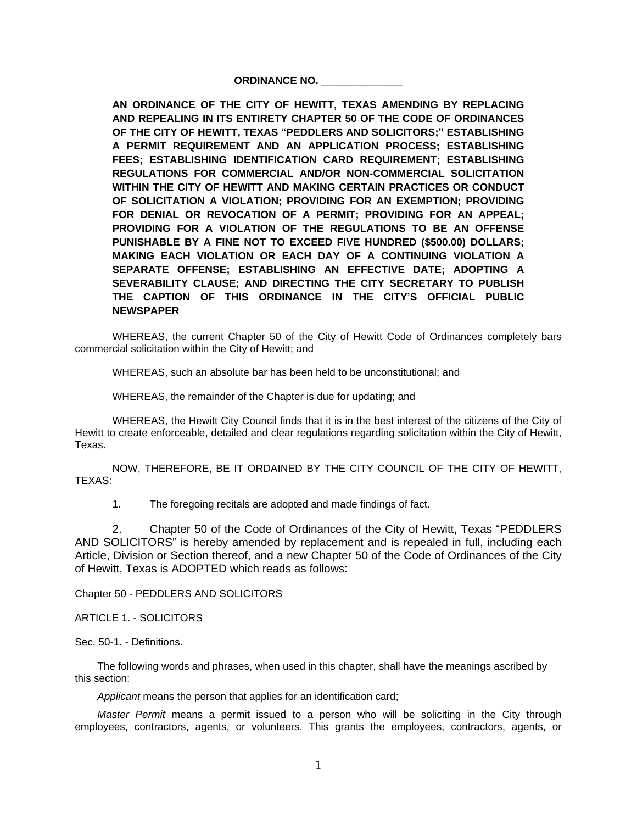## **ORDINANCE NO. \_\_\_\_\_\_\_\_\_\_\_\_\_\_**

**AN ORDINANCE OF THE CITY OF HEWITT, TEXAS AMENDING BY REPLACING AND REPEALING IN ITS ENTIRETY CHAPTER 50 OF THE CODE OF ORDINANCES OF THE CITY OF HEWITT, TEXAS "PEDDLERS AND SOLICITORS;" ESTABLISHING A PERMIT REQUIREMENT AND AN APPLICATION PROCESS; ESTABLISHING FEES; ESTABLISHING IDENTIFICATION CARD REQUIREMENT; ESTABLISHING REGULATIONS FOR COMMERCIAL AND/OR NON-COMMERCIAL SOLICITATION WITHIN THE CITY OF HEWITT AND MAKING CERTAIN PRACTICES OR CONDUCT OF SOLICITATION A VIOLATION; PROVIDING FOR AN EXEMPTION; PROVIDING FOR DENIAL OR REVOCATION OF A PERMIT; PROVIDING FOR AN APPEAL; PROVIDING FOR A VIOLATION OF THE REGULATIONS TO BE AN OFFENSE PUNISHABLE BY A FINE NOT TO EXCEED FIVE HUNDRED (\$500.00) DOLLARS; MAKING EACH VIOLATION OR EACH DAY OF A CONTINUING VIOLATION A SEPARATE OFFENSE; ESTABLISHING AN EFFECTIVE DATE; ADOPTING A SEVERABILITY CLAUSE; AND DIRECTING THE CITY SECRETARY TO PUBLISH THE CAPTION OF THIS ORDINANCE IN THE CITY'S OFFICIAL PUBLIC NEWSPAPER**

WHEREAS, the current Chapter 50 of the City of Hewitt Code of Ordinances completely bars commercial solicitation within the City of Hewitt; and

WHEREAS, such an absolute bar has been held to be unconstitutional; and

WHEREAS, the remainder of the Chapter is due for updating; and

WHEREAS, the Hewitt City Council finds that it is in the best interest of the citizens of the City of Hewitt to create enforceable, detailed and clear regulations regarding solicitation within the City of Hewitt, Texas.

NOW, THEREFORE, BE IT ORDAINED BY THE CITY COUNCIL OF THE CITY OF HEWITT, TEXAS:

1. The foregoing recitals are adopted and made findings of fact.

2. Chapter 50 of the Code of Ordinances of the City of Hewitt, Texas "PEDDLERS AND SOLICITORS" is hereby amended by replacement and is repealed in full, including each Article, Division or Section thereof, and a new Chapter 50 of the Code of Ordinances of the City of Hewitt, Texas is ADOPTED which reads as follows:

Chapter 50 - PEDDLERS AND SOLICITORS

ARTICLE 1. - SOLICITORS

Sec. 50-1. - Definitions.

The following words and phrases, when used in this chapter, shall have the meanings ascribed by this section:

*Applicant* means the person that applies for an identification card;

*Master Permit* means a permit issued to a person who will be soliciting in the City through employees, contractors, agents, or volunteers. This grants the employees, contractors, agents, or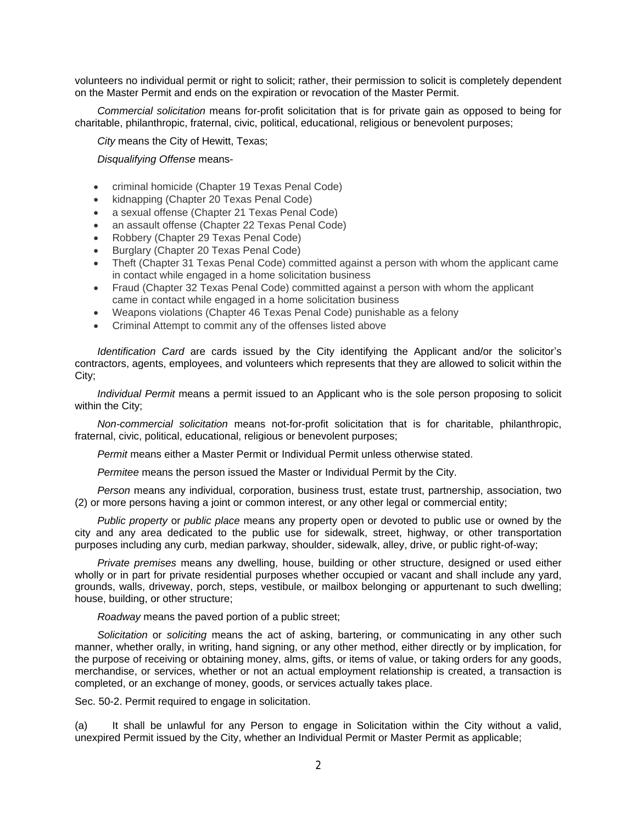volunteers no individual permit or right to solicit; rather, their permission to solicit is completely dependent on the Master Permit and ends on the expiration or revocation of the Master Permit.

*Commercial solicitation* means for-profit solicitation that is for private gain as opposed to being for charitable, philanthropic, fraternal, civic, political, educational, religious or benevolent purposes;

*City* means the City of Hewitt, Texas;

*Disqualifying Offense* means-

- criminal homicide (Chapter 19 Texas Penal Code)
- kidnapping (Chapter 20 Texas Penal Code)
- a sexual offense (Chapter 21 Texas Penal Code)
- an assault offense (Chapter 22 Texas Penal Code)
- Robbery (Chapter 29 Texas Penal Code)
- Burglary (Chapter 20 Texas Penal Code)
- Theft (Chapter 31 Texas Penal Code) committed against a person with whom the applicant came in contact while engaged in a home solicitation business
- Fraud (Chapter 32 Texas Penal Code) committed against a person with whom the applicant came in contact while engaged in a home solicitation business
- Weapons violations (Chapter 46 Texas Penal Code) punishable as a felony
- Criminal Attempt to commit any of the offenses listed above

*Identification Card* are cards issued by the City identifying the Applicant and/or the solicitor's contractors, agents, employees, and volunteers which represents that they are allowed to solicit within the City;

*Individual Permit* means a permit issued to an Applicant who is the sole person proposing to solicit within the City;

*Non-commercial solicitation* means not-for-profit solicitation that is for charitable, philanthropic, fraternal, civic, political, educational, religious or benevolent purposes;

*Permit* means either a Master Permit or Individual Permit unless otherwise stated.

*Permitee* means the person issued the Master or Individual Permit by the City.

*Person* means any individual, corporation, business trust, estate trust, partnership, association, two (2) or more persons having a joint or common interest, or any other legal or commercial entity;

*Public property* or *public place* means any property open or devoted to public use or owned by the city and any area dedicated to the public use for sidewalk, street, highway, or other transportation purposes including any curb, median parkway, shoulder, sidewalk, alley, drive, or public right-of-way;

*Private premises* means any dwelling, house, building or other structure, designed or used either wholly or in part for private residential purposes whether occupied or vacant and shall include any yard, grounds, walls, driveway, porch, steps, vestibule, or mailbox belonging or appurtenant to such dwelling; house, building, or other structure;

*Roadway* means the paved portion of a public street;

*Solicitation* or *soliciting* means the act of asking, bartering, or communicating in any other such manner, whether orally, in writing, hand signing, or any other method, either directly or by implication, for the purpose of receiving or obtaining money, alms, gifts, or items of value, or taking orders for any goods, merchandise, or services, whether or not an actual employment relationship is created, a transaction is completed, or an exchange of money, goods, or services actually takes place.

Sec. 50-2. Permit required to engage in solicitation.

(a) It shall be unlawful for any Person to engage in Solicitation within the City without a valid, unexpired Permit issued by the City, whether an Individual Permit or Master Permit as applicable;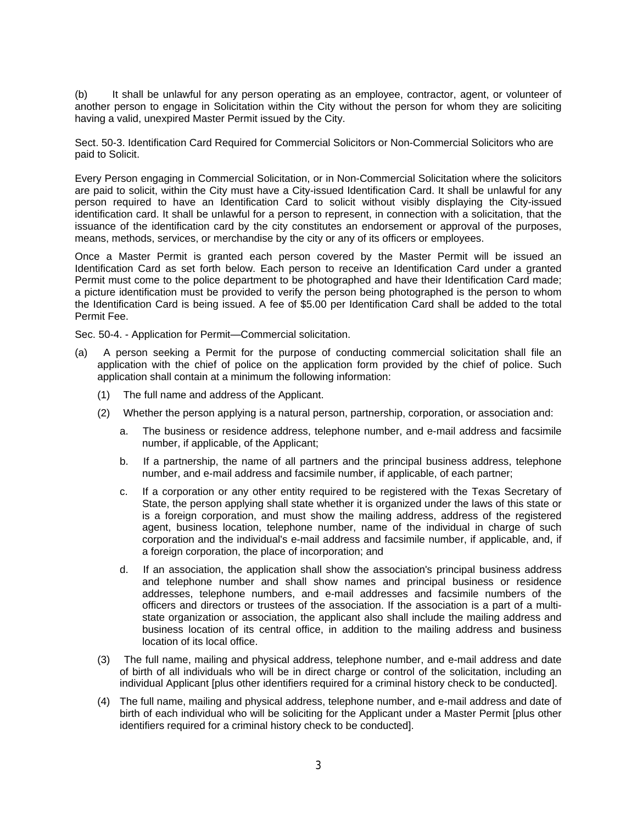(b) It shall be unlawful for any person operating as an employee, contractor, agent, or volunteer of another person to engage in Solicitation within the City without the person for whom they are soliciting having a valid, unexpired Master Permit issued by the City.

Sect. 50-3. Identification Card Required for Commercial Solicitors or Non-Commercial Solicitors who are paid to Solicit.

Every Person engaging in Commercial Solicitation, or in Non-Commercial Solicitation where the solicitors are paid to solicit, within the City must have a City-issued Identification Card. It shall be unlawful for any person required to have an Identification Card to solicit without visibly displaying the City-issued identification card. It shall be unlawful for a person to represent, in connection with a solicitation, that the issuance of the identification card by the city constitutes an endorsement or approval of the purposes, means, methods, services, or merchandise by the city or any of its officers or employees.

Once a Master Permit is granted each person covered by the Master Permit will be issued an Identification Card as set forth below. Each person to receive an Identification Card under a granted Permit must come to the police department to be photographed and have their Identification Card made; a picture identification must be provided to verify the person being photographed is the person to whom the Identification Card is being issued. A fee of \$5.00 per Identification Card shall be added to the total Permit Fee.

Sec. 50-4. - Application for Permit—Commercial solicitation.

- (a) A person seeking a Permit for the purpose of conducting commercial solicitation shall file an application with the chief of police on the application form provided by the chief of police. Such application shall contain at a minimum the following information:
	- (1) The full name and address of the Applicant.
	- (2) Whether the person applying is a natural person, partnership, corporation, or association and:
		- a. The business or residence address, telephone number, and e-mail address and facsimile number, if applicable, of the Applicant;
		- b. If a partnership, the name of all partners and the principal business address, telephone number, and e-mail address and facsimile number, if applicable, of each partner;
		- c. If a corporation or any other entity required to be registered with the Texas Secretary of State, the person applying shall state whether it is organized under the laws of this state or is a foreign corporation, and must show the mailing address, address of the registered agent, business location, telephone number, name of the individual in charge of such corporation and the individual's e-mail address and facsimile number, if applicable, and, if a foreign corporation, the place of incorporation; and
		- d. If an association, the application shall show the association's principal business address and telephone number and shall show names and principal business or residence addresses, telephone numbers, and e-mail addresses and facsimile numbers of the officers and directors or trustees of the association. If the association is a part of a multistate organization or association, the applicant also shall include the mailing address and business location of its central office, in addition to the mailing address and business location of its local office.
	- (3) The full name, mailing and physical address, telephone number, and e-mail address and date of birth of all individuals who will be in direct charge or control of the solicitation, including an individual Applicant [plus other identifiers required for a criminal history check to be conducted].
	- (4) The full name, mailing and physical address, telephone number, and e-mail address and date of birth of each individual who will be soliciting for the Applicant under a Master Permit [plus other identifiers required for a criminal history check to be conducted].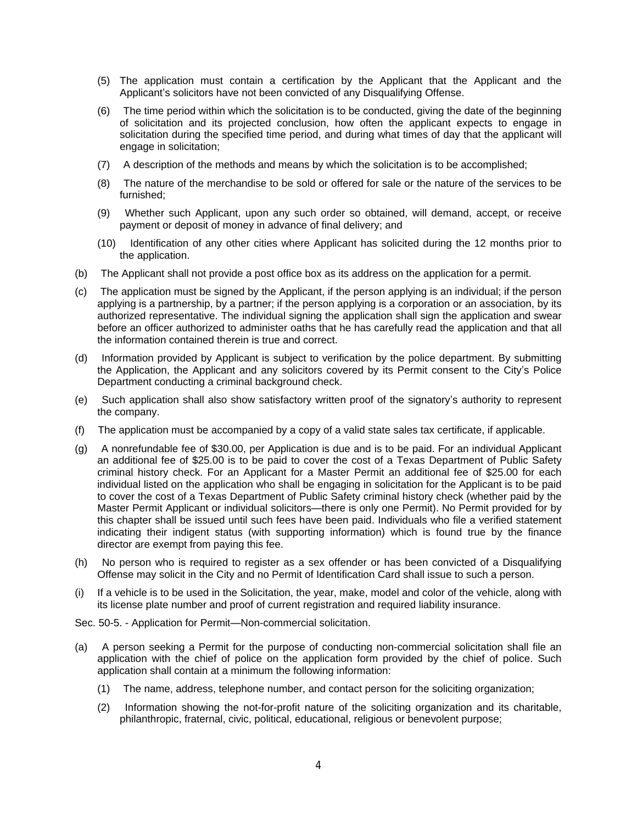- (5) The application must contain a certification by the Applicant that the Applicant and the Applicant's solicitors have not been convicted of any Disqualifying Offense.
- (6) The time period within which the solicitation is to be conducted, giving the date of the beginning of solicitation and its projected conclusion, how often the applicant expects to engage in solicitation during the specified time period, and during what times of day that the applicant will engage in solicitation;
- (7) A description of the methods and means by which the solicitation is to be accomplished;
- (8) The nature of the merchandise to be sold or offered for sale or the nature of the services to be furnished;
- (9) Whether such Applicant, upon any such order so obtained, will demand, accept, or receive payment or deposit of money in advance of final delivery; and
- (10) Identification of any other cities where Applicant has solicited during the 12 months prior to the application.
- (b) The Applicant shall not provide a post office box as its address on the application for a permit.
- (c) The application must be signed by the Applicant, if the person applying is an individual; if the person applying is a partnership, by a partner; if the person applying is a corporation or an association, by its authorized representative. The individual signing the application shall sign the application and swear before an officer authorized to administer oaths that he has carefully read the application and that all the information contained therein is true and correct.
- (d) Information provided by Applicant is subject to verification by the police department. By submitting the Application, the Applicant and any solicitors covered by its Permit consent to the City's Police Department conducting a criminal background check.
- (e) Such application shall also show satisfactory written proof of the signatory's authority to represent the company.
- (f) The application must be accompanied by a copy of a valid state sales tax certificate, if applicable.
- (g) A nonrefundable fee of \$30.00, per Application is due and is to be paid. For an individual Applicant an additional fee of \$25.00 is to be paid to cover the cost of a Texas Department of Public Safety criminal history check. For an Applicant for a Master Permit an additional fee of \$25.00 for each individual listed on the application who shall be engaging in solicitation for the Applicant is to be paid to cover the cost of a Texas Department of Public Safety criminal history check (whether paid by the Master Permit Applicant or individual solicitors—there is only one Permit). No Permit provided for by this chapter shall be issued until such fees have been paid. Individuals who file a verified statement indicating their indigent status (with supporting information) which is found true by the finance director are exempt from paying this fee.
- (h) No person who is required to register as a sex offender or has been convicted of a Disqualifying Offense may solicit in the City and no Permit of Identification Card shall issue to such a person.
- (i) If a vehicle is to be used in the Solicitation, the year, make, model and color of the vehicle, along with its license plate number and proof of current registration and required liability insurance.

Sec. 50-5. - Application for Permit—Non-commercial solicitation.

- (a) A person seeking a Permit for the purpose of conducting non-commercial solicitation shall file an application with the chief of police on the application form provided by the chief of police. Such application shall contain at a minimum the following information:
	- (1) The name, address, telephone number, and contact person for the soliciting organization;
	- (2) Information showing the not-for-profit nature of the soliciting organization and its charitable, philanthropic, fraternal, civic, political, educational, religious or benevolent purpose;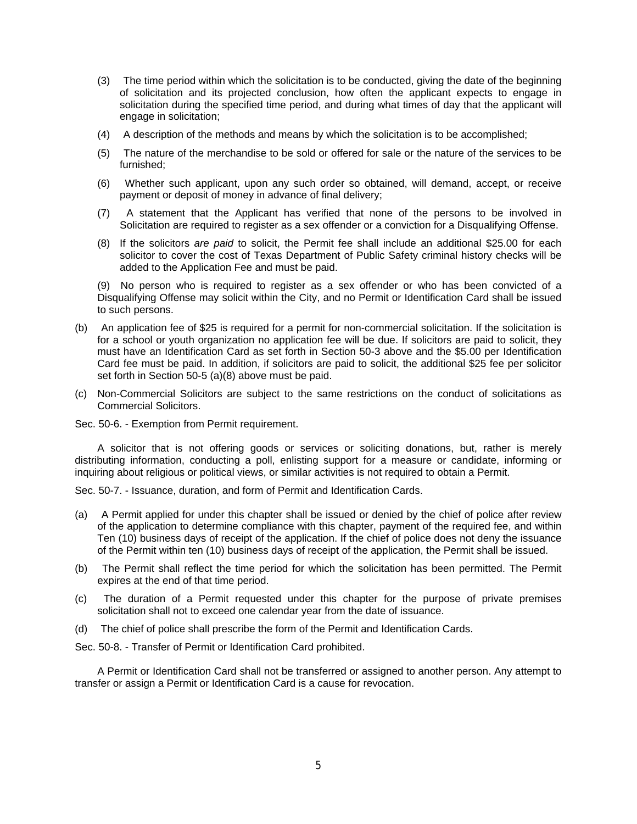- (3) The time period within which the solicitation is to be conducted, giving the date of the beginning of solicitation and its projected conclusion, how often the applicant expects to engage in solicitation during the specified time period, and during what times of day that the applicant will engage in solicitation;
- (4) A description of the methods and means by which the solicitation is to be accomplished;
- (5) The nature of the merchandise to be sold or offered for sale or the nature of the services to be furnished;
- (6) Whether such applicant, upon any such order so obtained, will demand, accept, or receive payment or deposit of money in advance of final delivery;
- (7) A statement that the Applicant has verified that none of the persons to be involved in Solicitation are required to register as a sex offender or a conviction for a Disqualifying Offense.
- (8) If the solicitors *are paid* to solicit, the Permit fee shall include an additional \$25.00 for each solicitor to cover the cost of Texas Department of Public Safety criminal history checks will be added to the Application Fee and must be paid.

(9) No person who is required to register as a sex offender or who has been convicted of a Disqualifying Offense may solicit within the City, and no Permit or Identification Card shall be issued to such persons.

- (b) An application fee of \$25 is required for a permit for non-commercial solicitation. If the solicitation is for a school or youth organization no application fee will be due. If solicitors are paid to solicit, they must have an Identification Card as set forth in Section 50-3 above and the \$5.00 per Identification Card fee must be paid. In addition, if solicitors are paid to solicit, the additional \$25 fee per solicitor set forth in Section 50-5 (a)(8) above must be paid.
- (c) Non-Commercial Solicitors are subject to the same restrictions on the conduct of solicitations as Commercial Solicitors.

Sec. 50-6. - Exemption from Permit requirement.

A solicitor that is not offering goods or services or soliciting donations, but, rather is merely distributing information, conducting a poll, enlisting support for a measure or candidate, informing or inquiring about religious or political views, or similar activities is not required to obtain a Permit.

Sec. 50-7. - Issuance, duration, and form of Permit and Identification Cards.

- (a) A Permit applied for under this chapter shall be issued or denied by the chief of police after review of the application to determine compliance with this chapter, payment of the required fee, and within Ten (10) business days of receipt of the application. If the chief of police does not deny the issuance of the Permit within ten (10) business days of receipt of the application, the Permit shall be issued.
- (b) The Permit shall reflect the time period for which the solicitation has been permitted. The Permit expires at the end of that time period.
- (c) The duration of a Permit requested under this chapter for the purpose of private premises solicitation shall not to exceed one calendar year from the date of issuance.
- (d) The chief of police shall prescribe the form of the Permit and Identification Cards.

Sec. 50-8. - Transfer of Permit or Identification Card prohibited.

A Permit or Identification Card shall not be transferred or assigned to another person. Any attempt to transfer or assign a Permit or Identification Card is a cause for revocation.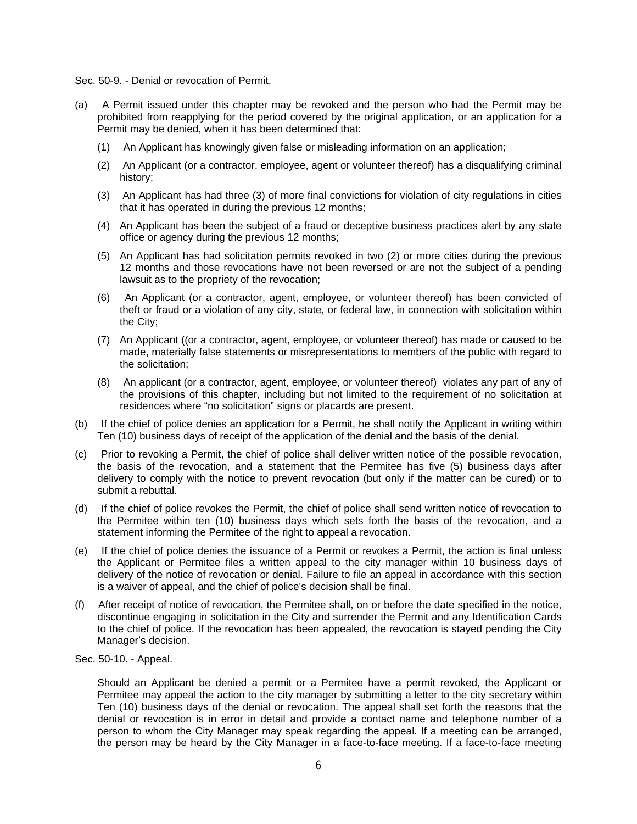Sec. 50-9. - Denial or revocation of Permit.

- (a) A Permit issued under this chapter may be revoked and the person who had the Permit may be prohibited from reapplying for the period covered by the original application, or an application for a Permit may be denied, when it has been determined that:
	- (1) An Applicant has knowingly given false or misleading information on an application;
	- (2) An Applicant (or a contractor, employee, agent or volunteer thereof) has a disqualifying criminal history;
	- (3) An Applicant has had three (3) of more final convictions for violation of city regulations in cities that it has operated in during the previous 12 months;
	- (4) An Applicant has been the subject of a fraud or deceptive business practices alert by any state office or agency during the previous 12 months;
	- (5) An Applicant has had solicitation permits revoked in two (2) or more cities during the previous 12 months and those revocations have not been reversed or are not the subject of a pending lawsuit as to the propriety of the revocation;
	- (6) An Applicant (or a contractor, agent, employee, or volunteer thereof) has been convicted of theft or fraud or a violation of any city, state, or federal law, in connection with solicitation within the City;
	- (7) An Applicant ((or a contractor, agent, employee, or volunteer thereof) has made or caused to be made, materially false statements or misrepresentations to members of the public with regard to the solicitation;
	- (8) An applicant (or a contractor, agent, employee, or volunteer thereof) violates any part of any of the provisions of this chapter, including but not limited to the requirement of no solicitation at residences where "no solicitation" signs or placards are present.
- (b) If the chief of police denies an application for a Permit, he shall notify the Applicant in writing within Ten (10) business days of receipt of the application of the denial and the basis of the denial.
- (c) Prior to revoking a Permit, the chief of police shall deliver written notice of the possible revocation, the basis of the revocation, and a statement that the Permitee has five (5) business days after delivery to comply with the notice to prevent revocation (but only if the matter can be cured) or to submit a rebuttal.
- (d) If the chief of police revokes the Permit, the chief of police shall send written notice of revocation to the Permitee within ten (10) business days which sets forth the basis of the revocation, and a statement informing the Permitee of the right to appeal a revocation.
- (e) If the chief of police denies the issuance of a Permit or revokes a Permit, the action is final unless the Applicant or Permitee files a written appeal to the city manager within 10 business days of delivery of the notice of revocation or denial. Failure to file an appeal in accordance with this section is a waiver of appeal, and the chief of police's decision shall be final.
- (f) After receipt of notice of revocation, the Permitee shall, on or before the date specified in the notice, discontinue engaging in solicitation in the City and surrender the Permit and any Identification Cards to the chief of police. If the revocation has been appealed, the revocation is stayed pending the City Manager's decision.
- Sec. 50-10. Appeal.

Should an Applicant be denied a permit or a Permitee have a permit revoked, the Applicant or Permitee may appeal the action to the city manager by submitting a letter to the city secretary within Ten (10) business days of the denial or revocation. The appeal shall set forth the reasons that the denial or revocation is in error in detail and provide a contact name and telephone number of a person to whom the City Manager may speak regarding the appeal. If a meeting can be arranged, the person may be heard by the City Manager in a face-to-face meeting. If a face-to-face meeting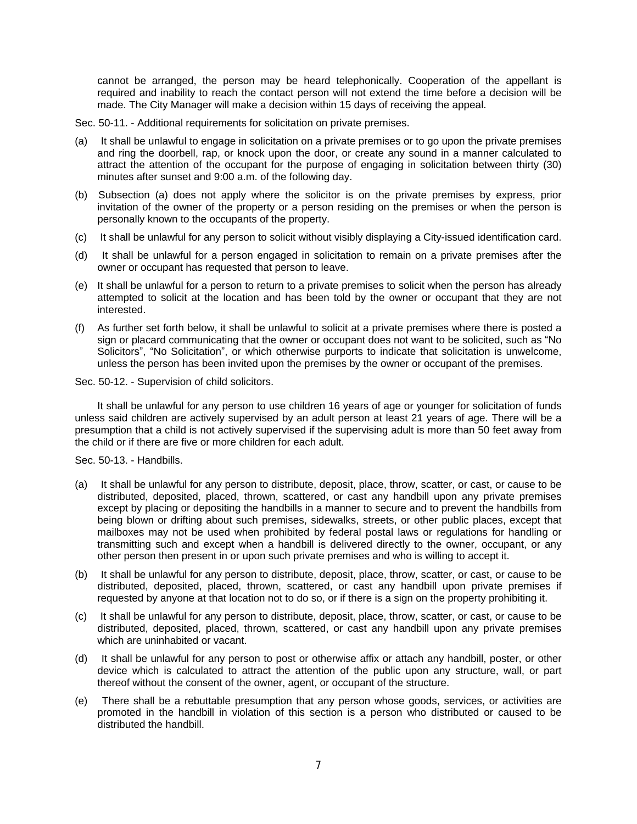cannot be arranged, the person may be heard telephonically. Cooperation of the appellant is required and inability to reach the contact person will not extend the time before a decision will be made. The City Manager will make a decision within 15 days of receiving the appeal.

Sec. 50-11. - Additional requirements for solicitation on private premises.

- (a) It shall be unlawful to engage in solicitation on a private premises or to go upon the private premises and ring the doorbell, rap, or knock upon the door, or create any sound in a manner calculated to attract the attention of the occupant for the purpose of engaging in solicitation between thirty (30) minutes after sunset and 9:00 a.m. of the following day.
- (b) Subsection (a) does not apply where the solicitor is on the private premises by express, prior invitation of the owner of the property or a person residing on the premises or when the person is personally known to the occupants of the property.
- (c) It shall be unlawful for any person to solicit without visibly displaying a City-issued identification card.
- (d) It shall be unlawful for a person engaged in solicitation to remain on a private premises after the owner or occupant has requested that person to leave.
- (e) It shall be unlawful for a person to return to a private premises to solicit when the person has already attempted to solicit at the location and has been told by the owner or occupant that they are not interested.
- (f) As further set forth below, it shall be unlawful to solicit at a private premises where there is posted a sign or placard communicating that the owner or occupant does not want to be solicited, such as "No Solicitors", "No Solicitation", or which otherwise purports to indicate that solicitation is unwelcome, unless the person has been invited upon the premises by the owner or occupant of the premises.

Sec. 50-12. - Supervision of child solicitors.

It shall be unlawful for any person to use children 16 years of age or younger for solicitation of funds unless said children are actively supervised by an adult person at least 21 years of age. There will be a presumption that a child is not actively supervised if the supervising adult is more than 50 feet away from the child or if there are five or more children for each adult.

Sec. 50-13. - Handbills.

- (a) It shall be unlawful for any person to distribute, deposit, place, throw, scatter, or cast, or cause to be distributed, deposited, placed, thrown, scattered, or cast any handbill upon any private premises except by placing or depositing the handbills in a manner to secure and to prevent the handbills from being blown or drifting about such premises, sidewalks, streets, or other public places, except that mailboxes may not be used when prohibited by federal postal laws or regulations for handling or transmitting such and except when a handbill is delivered directly to the owner, occupant, or any other person then present in or upon such private premises and who is willing to accept it.
- (b) It shall be unlawful for any person to distribute, deposit, place, throw, scatter, or cast, or cause to be distributed, deposited, placed, thrown, scattered, or cast any handbill upon private premises if requested by anyone at that location not to do so, or if there is a sign on the property prohibiting it.
- (c) It shall be unlawful for any person to distribute, deposit, place, throw, scatter, or cast, or cause to be distributed, deposited, placed, thrown, scattered, or cast any handbill upon any private premises which are uninhabited or vacant.
- (d) It shall be unlawful for any person to post or otherwise affix or attach any handbill, poster, or other device which is calculated to attract the attention of the public upon any structure, wall, or part thereof without the consent of the owner, agent, or occupant of the structure.
- (e) There shall be a rebuttable presumption that any person whose goods, services, or activities are promoted in the handbill in violation of this section is a person who distributed or caused to be distributed the handbill.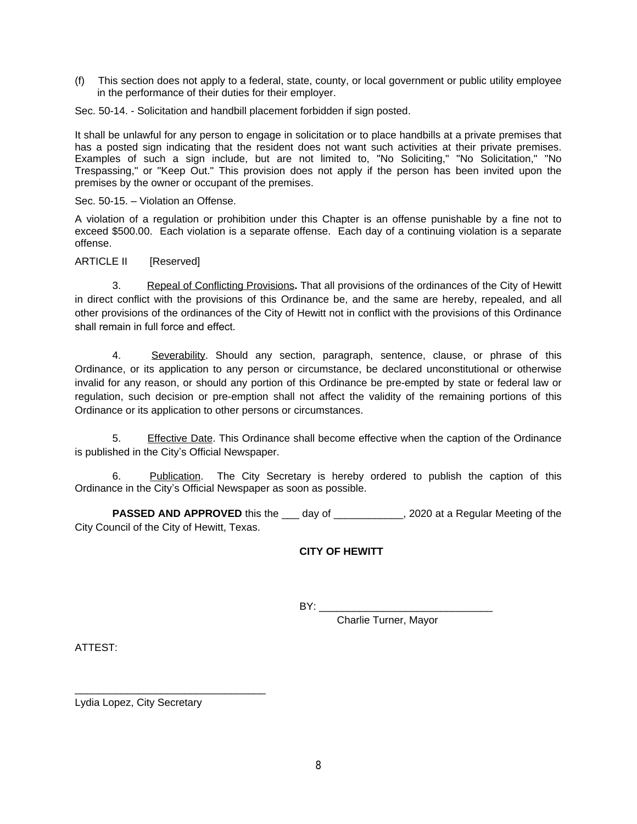(f) This section does not apply to a federal, state, county, or local government or public utility employee in the performance of their duties for their employer.

Sec. 50-14. - Solicitation and handbill placement forbidden if sign posted.

It shall be unlawful for any person to engage in solicitation or to place handbills at a private premises that has a posted sign indicating that the resident does not want such activities at their private premises. Examples of such a sign include, but are not limited to, "No Soliciting," "No Solicitation," "No Trespassing," or "Keep Out." This provision does not apply if the person has been invited upon the premises by the owner or occupant of the premises.

Sec. 50-15. – Violation an Offense.

A violation of a regulation or prohibition under this Chapter is an offense punishable by a fine not to exceed \$500.00. Each violation is a separate offense. Each day of a continuing violation is a separate offense.

## ARTICLE II [Reserved]

3.Repeal of Conflicting Provisions**.** That all provisions of the ordinances of the City of Hewitt in direct conflict with the provisions of this Ordinance be, and the same are hereby, repealed, and all other provisions of the ordinances of the City of Hewitt not in conflict with the provisions of this Ordinance shall remain in full force and effect.

4. Severability. Should any section, paragraph, sentence, clause, or phrase of this Ordinance, or its application to any person or circumstance, be declared unconstitutional or otherwise invalid for any reason, or should any portion of this Ordinance be pre-empted by state or federal law or regulation, such decision or pre-emption shall not affect the validity of the remaining portions of this Ordinance or its application to other persons or circumstances.

5. Effective Date. This Ordinance shall become effective when the caption of the Ordinance is published in the City's Official Newspaper.

6. Publication. The City Secretary is hereby ordered to publish the caption of this Ordinance in the City's Official Newspaper as soon as possible.

**PASSED AND APPROVED** this the \_\_\_ day of \_\_\_\_\_\_\_\_\_\_\_\_, 2020 at a Regular Meeting of the City Council of the City of Hewitt, Texas.

## **CITY OF HEWITT**

 $BY:$ 

Charlie Turner, Mayor

ATTEST:

Lydia Lopez, City Secretary

\_\_\_\_\_\_\_\_\_\_\_\_\_\_\_\_\_\_\_\_\_\_\_\_\_\_\_\_\_\_\_\_\_